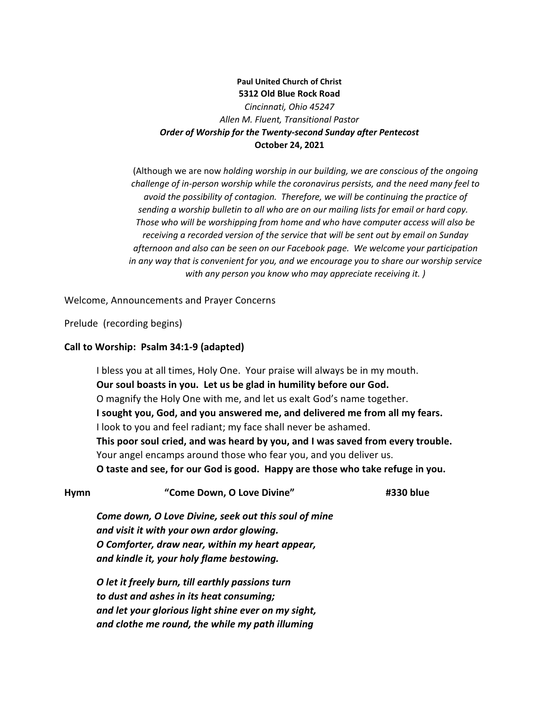# **Paul United Church of Christ 5312 Old Blue Rock Road** *Cincinnati, Ohio 45247 Allen M. Fluent, Transitional Pastor Order of Worship for the Twenty-second Sunday after Pentecost* **October 24, 2021**

(Although we are now *holding worship in our building, we are conscious of the ongoing challenge of in-person worship while the coronavirus persists, and the need many feel to avoid the possibility of contagion. Therefore, we will be continuing the practice of sending a worship bulletin to all who are on our mailing lists for email or hard copy. Those who will be worshipping from home and who have computer access will also be receiving a recorded version of the service that will be sent out by email on Sunday afternoon and also can be seen on our Facebook page. We welcome your participation in any way that is convenient for you, and we encourage you to share our worship service with any person you know who may appreciate receiving it. )*

Welcome, Announcements and Prayer Concerns

Prelude (recording begins)

#### **Call to Worship: Psalm 34:1-9 (adapted)**

I bless you at all times, Holy One. Your praise will always be in my mouth. **Our soul boasts in you. Let us be glad in humility before our God.** O magnify the Holy One with me, and let us exalt God's name together. **I sought you, God, and you answered me, and delivered me from all my fears.** I look to you and feel radiant; my face shall never be ashamed. **This poor soul cried, and was heard by you, and I was saved from every trouble.** Your angel encamps around those who fear you, and you deliver us. **O taste and see, for our God is good. Happy are those who take refuge in you.**

| <b>Hymn</b> | "Come Down, O Love Divine"                           | #330 blue |
|-------------|------------------------------------------------------|-----------|
|             | Come down, O Love Divine, seek out this soul of mine |           |
|             | and visit it with your own ardor glowing.            |           |
|             | O Comforter, draw near, within my heart appear,      |           |
|             | and kindle it, your holy flame bestowing.            |           |
|             | O let it freely burn, till earthly passions turn     |           |
|             | to dust and ashes in its heat consuming;             |           |
|             | and let your glorious light shine ever on my sight,  |           |

*and clothe me round, the while my path illuming*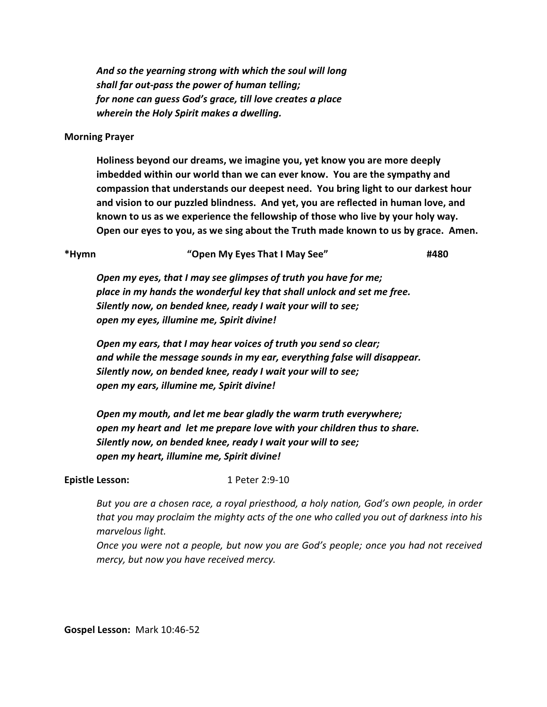*And so the yearning strong with which the soul will long shall far out-pass the power of human telling; for none can guess God's grace, till love creates a place wherein the Holy Spirit makes a dwelling.* 

#### **Morning Prayer**

**Holiness beyond our dreams, we imagine you, yet know you are more deeply imbedded within our world than we can ever know. You are the sympathy and compassion that understands our deepest need. You bring light to our darkest hour and vision to our puzzled blindness. And yet, you are reflected in human love, and known to us as we experience the fellowship of those who live by your holy way. Open our eyes to you, as we sing about the Truth made known to us by grace. Amen.**

| *Hymn | "Open My Eyes That I May See" | #480 |
|-------|-------------------------------|------|
|-------|-------------------------------|------|

*Open my eyes, that I may see glimpses of truth you have for me; place in my hands the wonderful key that shall unlock and set me free. Silently now, on bended knee, ready I wait your will to see; open my eyes, illumine me, Spirit divine!*

*Open my ears, that I may hear voices of truth you send so clear; and while the message sounds in my ear, everything false will disappear. Silently now, on bended knee, ready I wait your will to see; open my ears, illumine me, Spirit divine!*

*Open my mouth, and let me bear gladly the warm truth everywhere; open my heart and let me prepare love with your children thus to share. Silently now, on bended knee, ready I wait your will to see; open my heart, illumine me, Spirit divine!*

## **Epistle Lesson:** 1 Peter 2:9-10

*But you are a chosen race, a royal priesthood, a holy nation, God's own people, in order that you may proclaim the mighty acts of the one who called you out of darkness into his marvelous light.*

*Once you were not a people, but now you are God's people; once you had not received mercy, but now you have received mercy.*

**Gospel Lesson:** Mark 10:46-52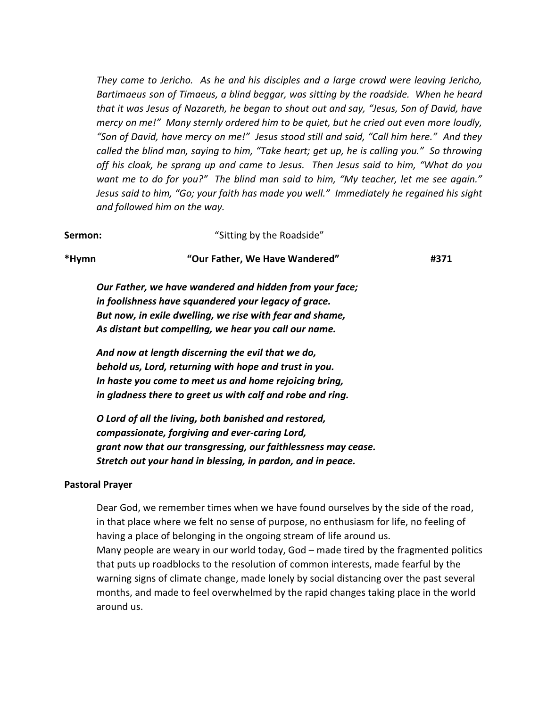*They came to Jericho. As he and his disciples and a large crowd were leaving Jericho, Bartimaeus son of Timaeus, a blind beggar, was sitting by the roadside. When he heard that it was Jesus of Nazareth, he began to shout out and say, "Jesus, Son of David, have mercy on me!" Many sternly ordered him to be quiet, but he cried out even more loudly, "Son of David, have mercy on me!" Jesus stood still and said, "Call him here." And they called the blind man, saying to him, "Take heart; get up, he is calling you." So throwing off his cloak, he sprang up and came to Jesus. Then Jesus said to him, "What do you want me to do for you?" The blind man said to him, "My teacher, let me see again." Jesus said to him, "Go; your faith has made you well." Immediately he regained his sight and followed him on the way.*

| Sermon: | "Sitting by the Roadside"                                                                                       |      |
|---------|-----------------------------------------------------------------------------------------------------------------|------|
| *Hymn   | "Our Father, We Have Wandered"                                                                                  | #371 |
|         | Our Father, we have wandered and hidden from your face;<br>in foolishness have squandered your legacy of grace. |      |
|         | But now, in exile dwelling, we rise with fear and shame,                                                        |      |
|         | As distant but compelling, we hear you call our name.                                                           |      |

*And now at length discerning the evil that we do, behold us, Lord, returning with hope and trust in you. In haste you come to meet us and home rejoicing bring, in gladness there to greet us with calf and robe and ring.*

*O Lord of all the living, both banished and restored, compassionate, forgiving and ever-caring Lord, grant now that our transgressing, our faithlessness may cease. Stretch out your hand in blessing, in pardon, and in peace.*

## **Pastoral Prayer**

Dear God, we remember times when we have found ourselves by the side of the road, in that place where we felt no sense of purpose, no enthusiasm for life, no feeling of having a place of belonging in the ongoing stream of life around us. Many people are weary in our world today, God – made tired by the fragmented politics that puts up roadblocks to the resolution of common interests, made fearful by the warning signs of climate change, made lonely by social distancing over the past several months, and made to feel overwhelmed by the rapid changes taking place in the world around us.